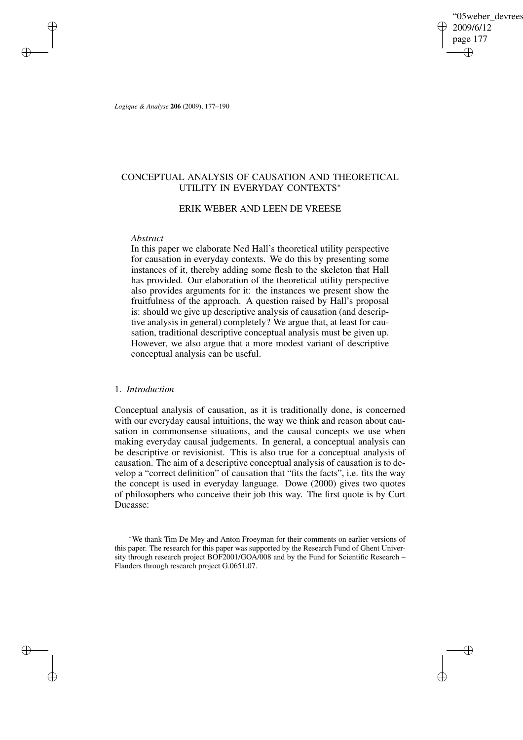'05weber devrees 2009/6/12 page 177 ✐ ✐

✐

✐

*Logique & Analyse* **206** (2009), 177–190

✐

✐

✐

✐

# CONCEPTUAL ANALYSIS OF CAUSATION AND THEORETICAL UTILITY IN EVERYDAY CONTEXTS<sup>∗</sup>

# ERIK WEBER AND LEEN DE VREESE

# *Abstract*

In this paper we elaborate Ned Hall's theoretical utility perspective for causation in everyday contexts. We do this by presenting some instances of it, thereby adding some flesh to the skeleton that Hall has provided. Our elaboration of the theoretical utility perspective also provides arguments for it: the instances we present show the fruitfulness of the approach. A question raised by Hall's proposal is: should we give up descriptive analysis of causation (and descriptive analysis in general) completely? We argue that, at least for causation, traditional descriptive conceptual analysis must be given up. However, we also argue that a more modest variant of descriptive conceptual analysis can be useful.

## 1. *Introduction*

Conceptual analysis of causation, as it is traditionally done, is concerned with our everyday causal intuitions, the way we think and reason about causation in commonsense situations, and the causal concepts we use when making everyday causal judgements. In general, a conceptual analysis can be descriptive or revisionist. This is also true for a conceptual analysis of causation. The aim of a descriptive conceptual analysis of causation is to develop a "correct definition" of causation that "fits the facts", i.e. fits the way the concept is used in everyday language. Dowe (2000) gives two quotes of philosophers who conceive their job this way. The first quote is by Curt Ducasse:

<sup>∗</sup>We thank Tim De Mey and Anton Froeyman for their comments on earlier versions of this paper. The research for this paper was supported by the Research Fund of Ghent University through research project BOF2001/GOA/008 and by the Fund for Scientific Research – Flanders through research project G.0651.07.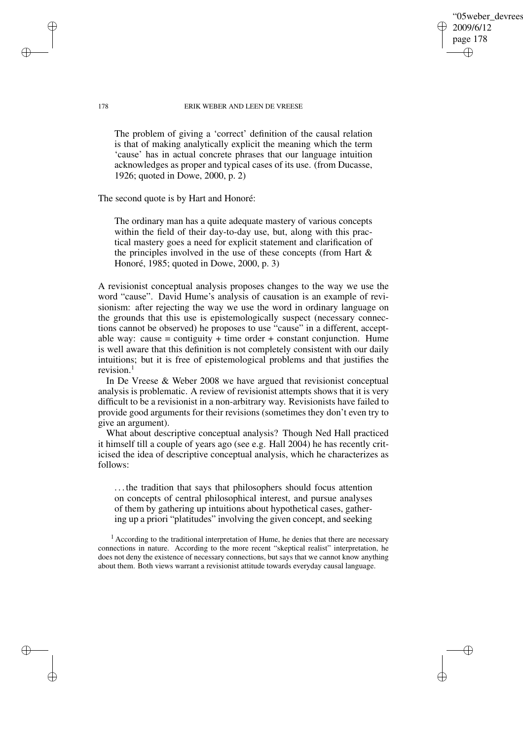'05weber devrees 2009/6/12 page 178 ✐ ✐

✐

✐

#### 178 ERIK WEBER AND LEEN DE VREESE

The problem of giving a 'correct' definition of the causal relation is that of making analytically explicit the meaning which the term 'cause' has in actual concrete phrases that our language intuition acknowledges as proper and typical cases of its use. (from Ducasse, 1926; quoted in Dowe, 2000, p. 2)

The second quote is by Hart and Honoré:

The ordinary man has a quite adequate mastery of various concepts within the field of their day-to-day use, but, along with this practical mastery goes a need for explicit statement and clarification of the principles involved in the use of these concepts (from Hart  $\&$ Honoré, 1985; quoted in Dowe, 2000, p. 3)

A revisionist conceptual analysis proposes changes to the way we use the word "cause". David Hume's analysis of causation is an example of revisionism: after rejecting the way we use the word in ordinary language on the grounds that this use is epistemologically suspect (necessary connections cannot be observed) he proposes to use "cause" in a different, acceptable way: cause  $=$  contiguity  $+$  time order  $+$  constant conjunction. Hume is well aware that this definition is not completely consistent with our daily intuitions; but it is free of epistemological problems and that justifies the revision.<sup>1</sup>

In De Vreese & Weber 2008 we have argued that revisionist conceptual analysis is problematic. A review of revisionist attempts shows that it is very difficult to be a revisionist in a non-arbitrary way. Revisionists have failed to provide good arguments for their revisions (sometimes they don't even try to give an argument).

What about descriptive conceptual analysis? Though Ned Hall practiced it himself till a couple of years ago (see e.g. Hall 2004) he has recently criticised the idea of descriptive conceptual analysis, which he characterizes as follows:

. . . the tradition that says that philosophers should focus attention on concepts of central philosophical interest, and pursue analyses of them by gathering up intuitions about hypothetical cases, gathering up a priori "platitudes" involving the given concept, and seeking

<sup>1</sup> According to the traditional interpretation of Hume, he denies that there are necessary connections in nature. According to the more recent "skeptical realist" interpretation, he does not deny the existence of necessary connections, but says that we cannot know anything about them. Both views warrant a revisionist attitude towards everyday causal language.

✐

✐

✐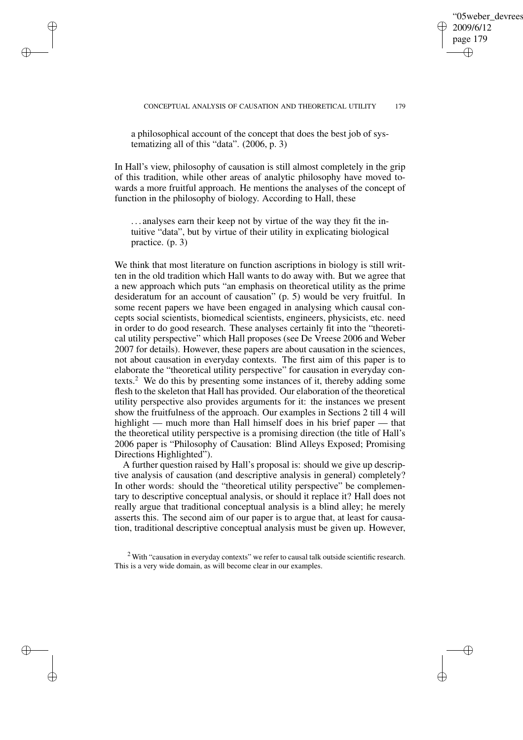# '05weber devrees 2009/6/12 page 179 ✐ ✐

✐

✐

a philosophical account of the concept that does the best job of systematizing all of this "data". (2006, p. 3)

✐

✐

✐

✐

In Hall's view, philosophy of causation is still almost completely in the grip of this tradition, while other areas of analytic philosophy have moved towards a more fruitful approach. He mentions the analyses of the concept of function in the philosophy of biology. According to Hall, these

. . . analyses earn their keep not by virtue of the way they fit the intuitive "data", but by virtue of their utility in explicating biological practice. (p. 3)

We think that most literature on function ascriptions in biology is still written in the old tradition which Hall wants to do away with. But we agree that a new approach which puts "an emphasis on theoretical utility as the prime desideratum for an account of causation" (p. 5) would be very fruitful. In some recent papers we have been engaged in analysing which causal concepts social scientists, biomedical scientists, engineers, physicists, etc. need in order to do good research. These analyses certainly fit into the "theoretical utility perspective" which Hall proposes (see De Vreese 2006 and Weber 2007 for details). However, these papers are about causation in the sciences, not about causation in everyday contexts. The first aim of this paper is to elaborate the "theoretical utility perspective" for causation in everyday contexts.<sup>2</sup> We do this by presenting some instances of it, thereby adding some flesh to the skeleton that Hall has provided. Our elaboration of the theoretical utility perspective also provides arguments for it: the instances we present show the fruitfulness of the approach. Our examples in Sections 2 till 4 will highlight — much more than Hall himself does in his brief paper — that the theoretical utility perspective is a promising direction (the title of Hall's 2006 paper is "Philosophy of Causation: Blind Alleys Exposed; Promising Directions Highlighted").

A further question raised by Hall's proposal is: should we give up descriptive analysis of causation (and descriptive analysis in general) completely? In other words: should the "theoretical utility perspective" be complementary to descriptive conceptual analysis, or should it replace it? Hall does not really argue that traditional conceptual analysis is a blind alley; he merely asserts this. The second aim of our paper is to argue that, at least for causation, traditional descriptive conceptual analysis must be given up. However,

<sup>2</sup> With "causation in everyday contexts" we refer to causal talk outside scientific research. This is a very wide domain, as will become clear in our examples.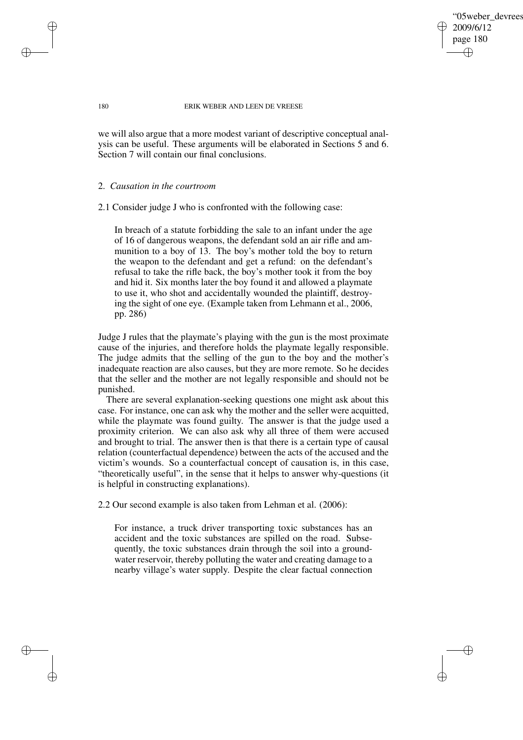'05weber devrees 2009/6/12 page 180 ✐ ✐

✐

✐

180 ERIK WEBER AND LEEN DE VREESE

we will also argue that a more modest variant of descriptive conceptual analysis can be useful. These arguments will be elaborated in Sections 5 and 6. Section 7 will contain our final conclusions.

# 2. *Causation in the courtroom*

2.1 Consider judge J who is confronted with the following case:

In breach of a statute forbidding the sale to an infant under the age of 16 of dangerous weapons, the defendant sold an air rifle and ammunition to a boy of 13. The boy's mother told the boy to return the weapon to the defendant and get a refund: on the defendant's refusal to take the rifle back, the boy's mother took it from the boy and hid it. Six months later the boy found it and allowed a playmate to use it, who shot and accidentally wounded the plaintiff, destroying the sight of one eye. (Example taken from Lehmann et al., 2006, pp. 286)

Judge J rules that the playmate's playing with the gun is the most proximate cause of the injuries, and therefore holds the playmate legally responsible. The judge admits that the selling of the gun to the boy and the mother's inadequate reaction are also causes, but they are more remote. So he decides that the seller and the mother are not legally responsible and should not be punished.

There are several explanation-seeking questions one might ask about this case. For instance, one can ask why the mother and the seller were acquitted, while the playmate was found guilty. The answer is that the judge used a proximity criterion. We can also ask why all three of them were accused and brought to trial. The answer then is that there is a certain type of causal relation (counterfactual dependence) between the acts of the accused and the victim's wounds. So a counterfactual concept of causation is, in this case, "theoretically useful", in the sense that it helps to answer why-questions (it is helpful in constructing explanations).

2.2 Our second example is also taken from Lehman et al. (2006):

For instance, a truck driver transporting toxic substances has an accident and the toxic substances are spilled on the road. Subsequently, the toxic substances drain through the soil into a groundwater reservoir, thereby polluting the water and creating damage to a nearby village's water supply. Despite the clear factual connection

✐

✐

✐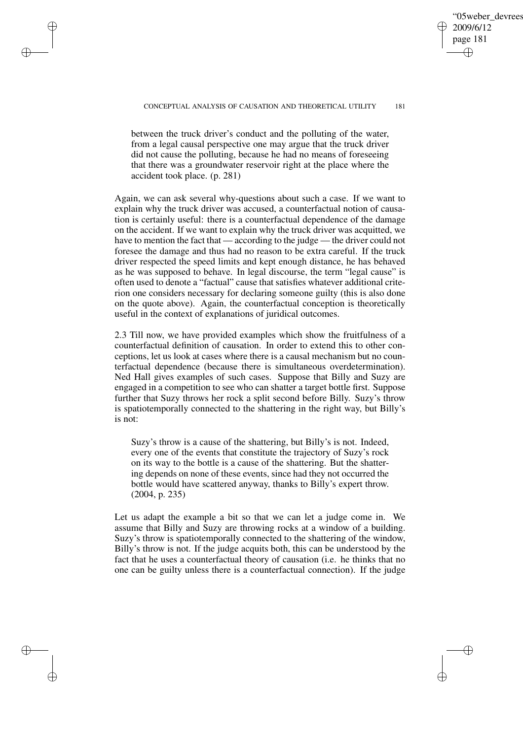✐

✐

between the truck driver's conduct and the polluting of the water, from a legal causal perspective one may argue that the truck driver did not cause the polluting, because he had no means of foreseeing that there was a groundwater reservoir right at the place where the accident took place. (p. 281)

✐

✐

✐

✐

Again, we can ask several why-questions about such a case. If we want to explain why the truck driver was accused, a counterfactual notion of causation is certainly useful: there is a counterfactual dependence of the damage on the accident. If we want to explain why the truck driver was acquitted, we have to mention the fact that — according to the judge — the driver could not foresee the damage and thus had no reason to be extra careful. If the truck driver respected the speed limits and kept enough distance, he has behaved as he was supposed to behave. In legal discourse, the term "legal cause" is often used to denote a "factual" cause that satisfies whatever additional criterion one considers necessary for declaring someone guilty (this is also done on the quote above). Again, the counterfactual conception is theoretically useful in the context of explanations of juridical outcomes.

2.3 Till now, we have provided examples which show the fruitfulness of a counterfactual definition of causation. In order to extend this to other conceptions, let us look at cases where there is a causal mechanism but no counterfactual dependence (because there is simultaneous overdetermination). Ned Hall gives examples of such cases. Suppose that Billy and Suzy are engaged in a competition to see who can shatter a target bottle first. Suppose further that Suzy throws her rock a split second before Billy. Suzy's throw is spatiotemporally connected to the shattering in the right way, but Billy's is not:

Suzy's throw is a cause of the shattering, but Billy's is not. Indeed, every one of the events that constitute the trajectory of Suzy's rock on its way to the bottle is a cause of the shattering. But the shattering depends on none of these events, since had they not occurred the bottle would have scattered anyway, thanks to Billy's expert throw. (2004, p. 235)

Let us adapt the example a bit so that we can let a judge come in. We assume that Billy and Suzy are throwing rocks at a window of a building. Suzy's throw is spatiotemporally connected to the shattering of the window, Billy's throw is not. If the judge acquits both, this can be understood by the fact that he uses a counterfactual theory of causation (i.e. he thinks that no one can be guilty unless there is a counterfactual connection). If the judge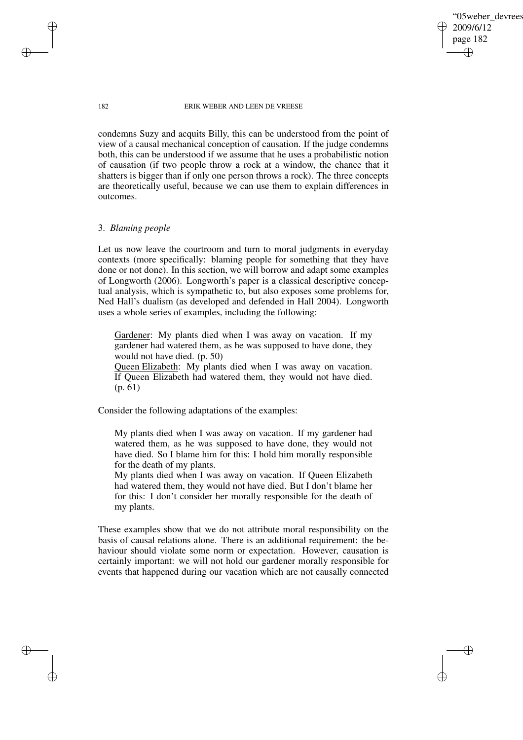'05weber\_devrees 2009/6/12 page 182 ✐ ✐

✐

✐

#### 182 ERIK WEBER AND LEEN DE VREESE

condemns Suzy and acquits Billy, this can be understood from the point of view of a causal mechanical conception of causation. If the judge condemns both, this can be understood if we assume that he uses a probabilistic notion of causation (if two people throw a rock at a window, the chance that it shatters is bigger than if only one person throws a rock). The three concepts are theoretically useful, because we can use them to explain differences in outcomes.

# 3. *Blaming people*

Let us now leave the courtroom and turn to moral judgments in everyday contexts (more specifically: blaming people for something that they have done or not done). In this section, we will borrow and adapt some examples of Longworth (2006). Longworth's paper is a classical descriptive conceptual analysis, which is sympathetic to, but also exposes some problems for, Ned Hall's dualism (as developed and defended in Hall 2004). Longworth uses a whole series of examples, including the following:

Gardener: My plants died when I was away on vacation. If my gardener had watered them, as he was supposed to have done, they would not have died. (p. 50)

Queen Elizabeth: My plants died when I was away on vacation. If Queen Elizabeth had watered them, they would not have died. (p. 61)

Consider the following adaptations of the examples:

My plants died when I was away on vacation. If my gardener had watered them, as he was supposed to have done, they would not have died. So I blame him for this: I hold him morally responsible for the death of my plants.

My plants died when I was away on vacation. If Queen Elizabeth had watered them, they would not have died. But I don't blame her for this: I don't consider her morally responsible for the death of my plants.

These examples show that we do not attribute moral responsibility on the basis of causal relations alone. There is an additional requirement: the behaviour should violate some norm or expectation. However, causation is certainly important: we will not hold our gardener morally responsible for events that happened during our vacation which are not causally connected

✐

✐

✐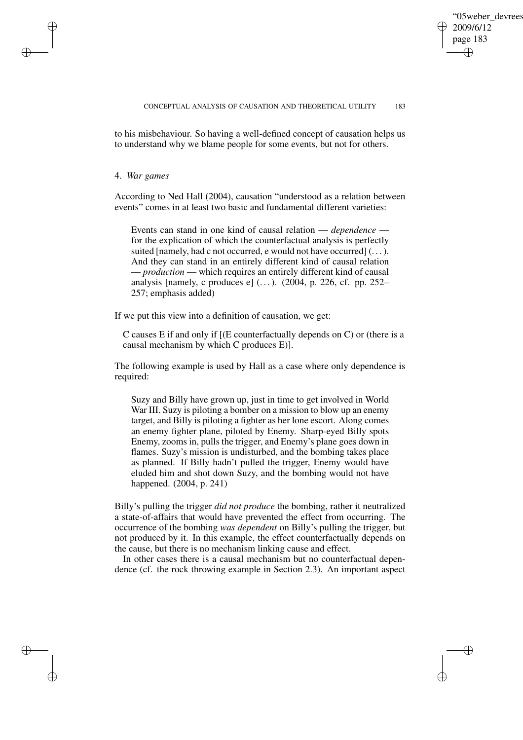✐

✐

### CONCEPTUAL ANALYSIS OF CAUSATION AND THEORETICAL UTILITY 183

to his misbehaviour. So having a well-defined concept of causation helps us to understand why we blame people for some events, but not for others.

4. *War games*

✐

✐

✐

✐

According to Ned Hall (2004), causation "understood as a relation between events" comes in at least two basic and fundamental different varieties:

Events can stand in one kind of causal relation — *dependence* for the explication of which the counterfactual analysis is perfectly suited [namely, had c not occurred, e would not have occurred]  $(\dots)$ . And they can stand in an entirely different kind of causal relation — *production* — which requires an entirely different kind of causal analysis [namely, c produces e]  $(\dots)$ . (2004, p. 226, cf. pp. 252– 257; emphasis added)

If we put this view into a definition of causation, we get:

C causes E if and only if [(E counterfactually depends on C) or (there is a causal mechanism by which C produces E)].

The following example is used by Hall as a case where only dependence is required:

Suzy and Billy have grown up, just in time to get involved in World War III. Suzy is piloting a bomber on a mission to blow up an enemy target, and Billy is piloting a fighter as her lone escort. Along comes an enemy fighter plane, piloted by Enemy. Sharp-eyed Billy spots Enemy, zooms in, pulls the trigger, and Enemy's plane goes down in flames. Suzy's mission is undisturbed, and the bombing takes place as planned. If Billy hadn't pulled the trigger, Enemy would have eluded him and shot down Suzy, and the bombing would not have happened. (2004, p. 241)

Billy's pulling the trigger *did not produce* the bombing, rather it neutralized a state-of-affairs that would have prevented the effect from occurring. The occurrence of the bombing *was dependent* on Billy's pulling the trigger, but not produced by it. In this example, the effect counterfactually depends on the cause, but there is no mechanism linking cause and effect.

In other cases there is a causal mechanism but no counterfactual dependence (cf. the rock throwing example in Section 2.3). An important aspect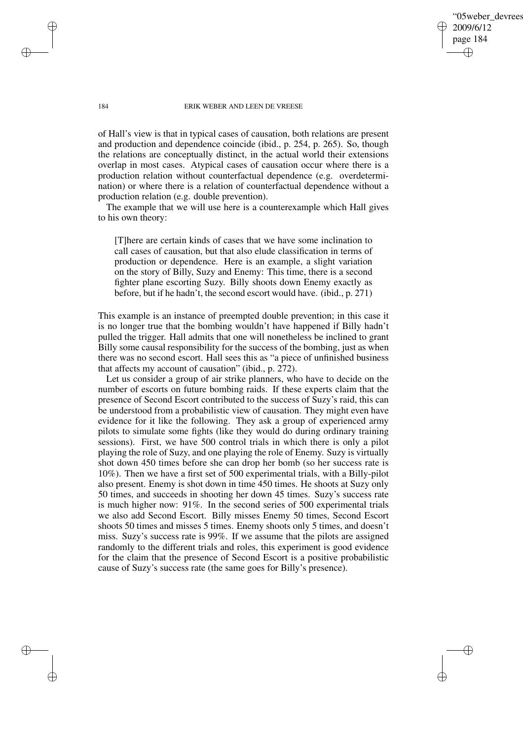'05weber devrees 2009/6/12 page 184 ✐ ✐

✐

✐

#### 184 ERIK WEBER AND LEEN DE VREESE

of Hall's view is that in typical cases of causation, both relations are present and production and dependence coincide (ibid., p. 254, p. 265). So, though the relations are conceptually distinct, in the actual world their extensions overlap in most cases. Atypical cases of causation occur where there is a production relation without counterfactual dependence (e.g. overdetermination) or where there is a relation of counterfactual dependence without a production relation (e.g. double prevention).

The example that we will use here is a counterexample which Hall gives to his own theory:

[T]here are certain kinds of cases that we have some inclination to call cases of causation, but that also elude classification in terms of production or dependence. Here is an example, a slight variation on the story of Billy, Suzy and Enemy: This time, there is a second fighter plane escorting Suzy. Billy shoots down Enemy exactly as before, but if he hadn't, the second escort would have. (ibid., p. 271)

This example is an instance of preempted double prevention; in this case it is no longer true that the bombing wouldn't have happened if Billy hadn't pulled the trigger. Hall admits that one will nonetheless be inclined to grant Billy some causal responsibility for the success of the bombing, just as when there was no second escort. Hall sees this as "a piece of unfinished business that affects my account of causation" (ibid., p. 272).

Let us consider a group of air strike planners, who have to decide on the number of escorts on future bombing raids. If these experts claim that the presence of Second Escort contributed to the success of Suzy's raid, this can be understood from a probabilistic view of causation. They might even have evidence for it like the following. They ask a group of experienced army pilots to simulate some fights (like they would do during ordinary training sessions). First, we have 500 control trials in which there is only a pilot playing the role of Suzy, and one playing the role of Enemy. Suzy is virtually shot down 450 times before she can drop her bomb (so her success rate is 10%). Then we have a first set of 500 experimental trials, with a Billy-pilot also present. Enemy is shot down in time 450 times. He shoots at Suzy only 50 times, and succeeds in shooting her down 45 times. Suzy's success rate is much higher now: 91%. In the second series of 500 experimental trials we also add Second Escort. Billy misses Enemy 50 times, Second Escort shoots 50 times and misses 5 times. Enemy shoots only 5 times, and doesn't miss. Suzy's success rate is 99%. If we assume that the pilots are assigned randomly to the different trials and roles, this experiment is good evidence for the claim that the presence of Second Escort is a positive probabilistic cause of Suzy's success rate (the same goes for Billy's presence).

✐

✐

✐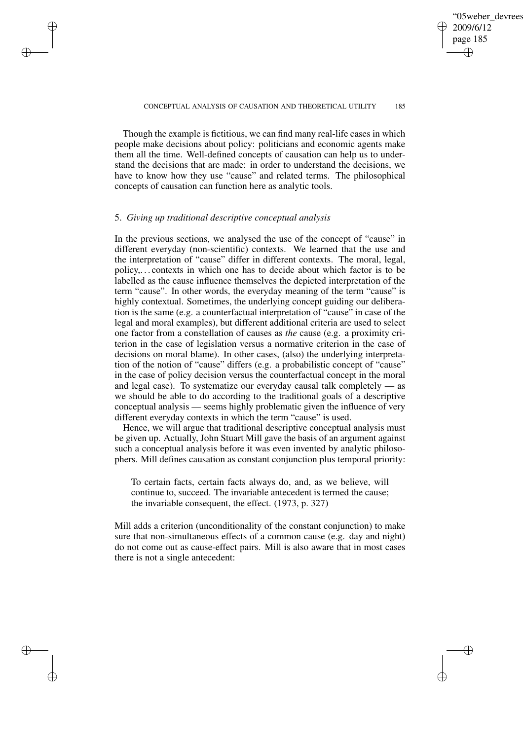# '05weber devrees 2009/6/12 page 185 ✐ ✐

✐

✐

#### CONCEPTUAL ANALYSIS OF CAUSATION AND THEORETICAL UTILITY 185

Though the example is fictitious, we can find many real-life cases in which people make decisions about policy: politicians and economic agents make them all the time. Well-defined concepts of causation can help us to understand the decisions that are made: in order to understand the decisions, we have to know how they use "cause" and related terms. The philosophical concepts of causation can function here as analytic tools.

# 5. *Giving up traditional descriptive conceptual analysis*

✐

✐

✐

✐

In the previous sections, we analysed the use of the concept of "cause" in different everyday (non-scientific) contexts. We learned that the use and the interpretation of "cause" differ in different contexts. The moral, legal, policy,. . . contexts in which one has to decide about which factor is to be labelled as the cause influence themselves the depicted interpretation of the term "cause". In other words, the everyday meaning of the term "cause" is highly contextual. Sometimes, the underlying concept guiding our deliberation is the same (e.g. a counterfactual interpretation of "cause" in case of the legal and moral examples), but different additional criteria are used to select one factor from a constellation of causes as *the* cause (e.g. a proximity criterion in the case of legislation versus a normative criterion in the case of decisions on moral blame). In other cases, (also) the underlying interpretation of the notion of "cause" differs (e.g. a probabilistic concept of "cause" in the case of policy decision versus the counterfactual concept in the moral and legal case). To systematize our everyday causal talk completely — as we should be able to do according to the traditional goals of a descriptive conceptual analysis — seems highly problematic given the influence of very different everyday contexts in which the term "cause" is used.

Hence, we will argue that traditional descriptive conceptual analysis must be given up. Actually, John Stuart Mill gave the basis of an argument against such a conceptual analysis before it was even invented by analytic philosophers. Mill defines causation as constant conjunction plus temporal priority:

To certain facts, certain facts always do, and, as we believe, will continue to, succeed. The invariable antecedent is termed the cause; the invariable consequent, the effect. (1973, p. 327)

Mill adds a criterion (unconditionality of the constant conjunction) to make sure that non-simultaneous effects of a common cause (e.g. day and night) do not come out as cause-effect pairs. Mill is also aware that in most cases there is not a single antecedent: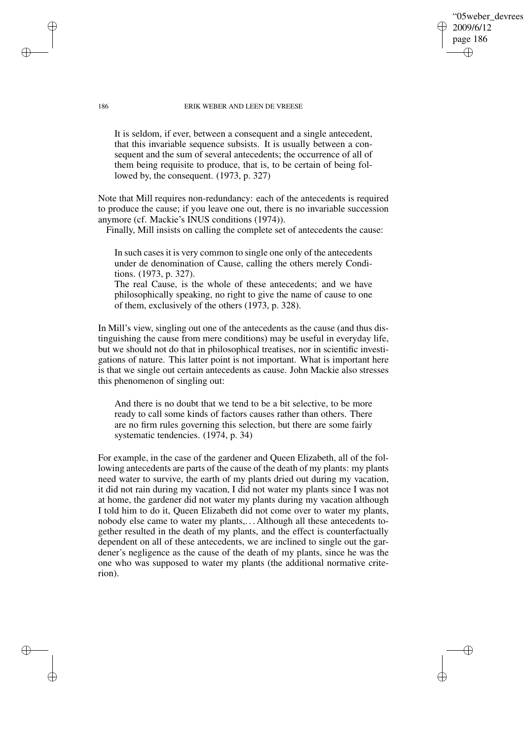'05weber devrees 2009/6/12 page 186 ✐ ✐

✐

✐

#### 186 ERIK WEBER AND LEEN DE VREESE

It is seldom, if ever, between a consequent and a single antecedent, that this invariable sequence subsists. It is usually between a consequent and the sum of several antecedents; the occurrence of all of them being requisite to produce, that is, to be certain of being followed by, the consequent. (1973, p. 327)

Note that Mill requires non-redundancy: each of the antecedents is required to produce the cause; if you leave one out, there is no invariable succession anymore (cf. Mackie's INUS conditions (1974)).

Finally, Mill insists on calling the complete set of antecedents the cause:

In such cases it is very common to single one only of the antecedents under de denomination of Cause, calling the others merely Conditions. (1973, p. 327).

The real Cause, is the whole of these antecedents; and we have philosophically speaking, no right to give the name of cause to one of them, exclusively of the others (1973, p. 328).

In Mill's view, singling out one of the antecedents as the cause (and thus distinguishing the cause from mere conditions) may be useful in everyday life, but we should not do that in philosophical treatises, nor in scientific investigations of nature. This latter point is not important. What is important here is that we single out certain antecedents as cause. John Mackie also stresses this phenomenon of singling out:

And there is no doubt that we tend to be a bit selective, to be more ready to call some kinds of factors causes rather than others. There are no firm rules governing this selection, but there are some fairly systematic tendencies. (1974, p. 34)

For example, in the case of the gardener and Queen Elizabeth, all of the following antecedents are parts of the cause of the death of my plants: my plants need water to survive, the earth of my plants dried out during my vacation, it did not rain during my vacation, I did not water my plants since I was not at home, the gardener did not water my plants during my vacation although I told him to do it, Queen Elizabeth did not come over to water my plants, nobody else came to water my plants,. . . Although all these antecedents together resulted in the death of my plants, and the effect is counterfactually dependent on all of these antecedents, we are inclined to single out the gardener's negligence as the cause of the death of my plants, since he was the one who was supposed to water my plants (the additional normative criterion).

✐

✐

✐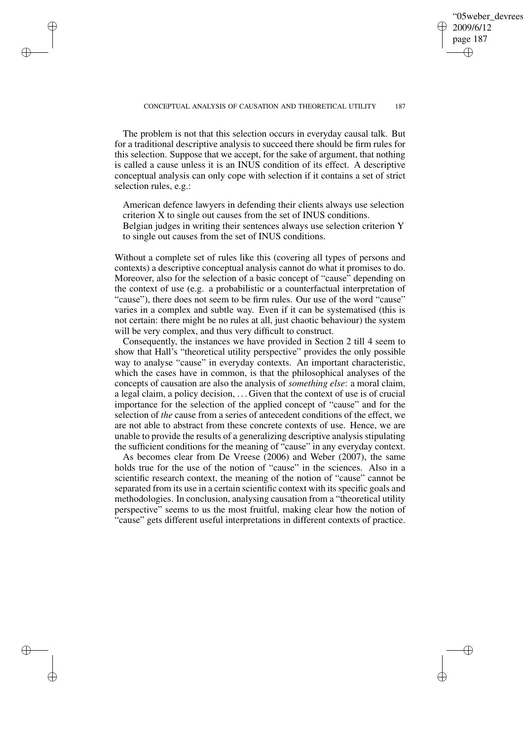# '05weber devrees 2009/6/12 page 187 ✐ ✐

✐

✐

The problem is not that this selection occurs in everyday causal talk. But for a traditional descriptive analysis to succeed there should be firm rules for this selection. Suppose that we accept, for the sake of argument, that nothing is called a cause unless it is an INUS condition of its effect. A descriptive conceptual analysis can only cope with selection if it contains a set of strict selection rules, e.g.:

✐

✐

✐

✐

American defence lawyers in defending their clients always use selection criterion X to single out causes from the set of INUS conditions. Belgian judges in writing their sentences always use selection criterion Y to single out causes from the set of INUS conditions.

Without a complete set of rules like this (covering all types of persons and contexts) a descriptive conceptual analysis cannot do what it promises to do. Moreover, also for the selection of a basic concept of "cause" depending on the context of use (e.g. a probabilistic or a counterfactual interpretation of "cause"), there does not seem to be firm rules. Our use of the word "cause" varies in a complex and subtle way. Even if it can be systematised (this is not certain: there might be no rules at all, just chaotic behaviour) the system will be very complex, and thus very difficult to construct.

Consequently, the instances we have provided in Section 2 till 4 seem to show that Hall's "theoretical utility perspective" provides the only possible way to analyse "cause" in everyday contexts. An important characteristic, which the cases have in common, is that the philosophical analyses of the concepts of causation are also the analysis of *something else*: a moral claim, a legal claim, a policy decision, . . . Given that the context of use is of crucial importance for the selection of the applied concept of "cause" and for the selection of *the* cause from a series of antecedent conditions of the effect, we are not able to abstract from these concrete contexts of use. Hence, we are unable to provide the results of a generalizing descriptive analysis stipulating the sufficient conditions for the meaning of "cause" in any everyday context.

As becomes clear from De Vreese (2006) and Weber (2007), the same holds true for the use of the notion of "cause" in the sciences. Also in a scientific research context, the meaning of the notion of "cause" cannot be separated from its use in a certain scientific context with its specific goals and methodologies. In conclusion, analysing causation from a "theoretical utility perspective" seems to us the most fruitful, making clear how the notion of "cause" gets different useful interpretations in different contexts of practice.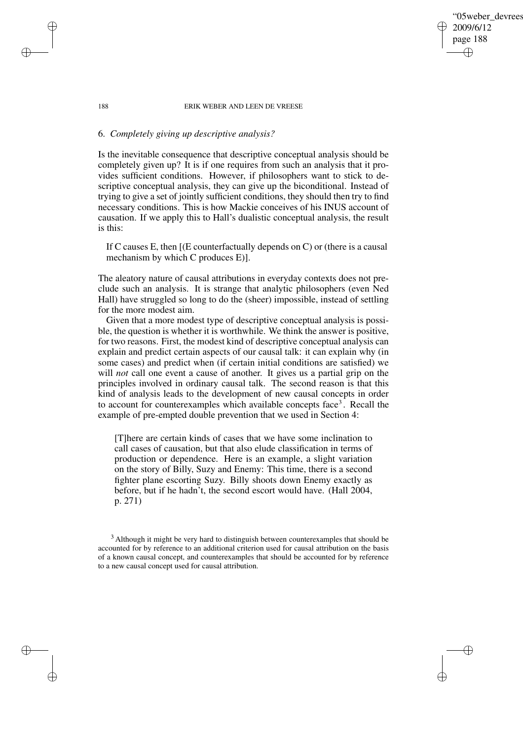# '05weber devrees 2009/6/12 page 188 ✐ ✐

✐

✐

#### 188 ERIK WEBER AND LEEN DE VREESE

# 6. *Completely giving up descriptive analysis?*

Is the inevitable consequence that descriptive conceptual analysis should be completely given up? It is if one requires from such an analysis that it provides sufficient conditions. However, if philosophers want to stick to descriptive conceptual analysis, they can give up the biconditional. Instead of trying to give a set of jointly sufficient conditions, they should then try to find necessary conditions. This is how Mackie conceives of his INUS account of causation. If we apply this to Hall's dualistic conceptual analysis, the result is this:

If C causes E, then [(E counterfactually depends on C) or (there is a causal mechanism by which C produces E)].

The aleatory nature of causal attributions in everyday contexts does not preclude such an analysis. It is strange that analytic philosophers (even Ned Hall) have struggled so long to do the (sheer) impossible, instead of settling for the more modest aim.

Given that a more modest type of descriptive conceptual analysis is possible, the question is whether it is worthwhile. We think the answer is positive, for two reasons. First, the modest kind of descriptive conceptual analysis can explain and predict certain aspects of our causal talk: it can explain why (in some cases) and predict when (if certain initial conditions are satisfied) we will *not* call one event a cause of another. It gives us a partial grip on the principles involved in ordinary causal talk. The second reason is that this kind of analysis leads to the development of new causal concepts in order to account for counterexamples which available concepts face<sup>3</sup>. Recall the example of pre-empted double prevention that we used in Section 4:

[T]here are certain kinds of cases that we have some inclination to call cases of causation, but that also elude classification in terms of production or dependence. Here is an example, a slight variation on the story of Billy, Suzy and Enemy: This time, there is a second fighter plane escorting Suzy. Billy shoots down Enemy exactly as before, but if he hadn't, the second escort would have. (Hall 2004, p. 271)

✐

✐

✐

<sup>&</sup>lt;sup>3</sup> Although it might be very hard to distinguish between counterexamples that should be accounted for by reference to an additional criterion used for causal attribution on the basis of a known causal concept, and counterexamples that should be accounted for by reference to a new causal concept used for causal attribution.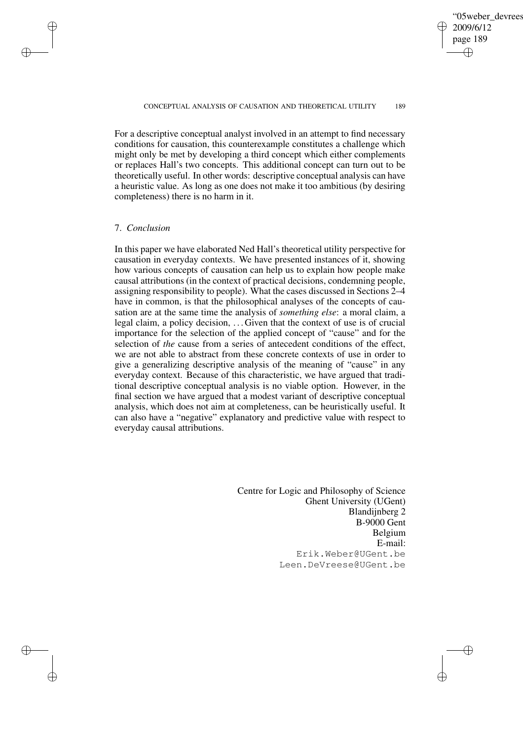✐

✐

For a descriptive conceptual analyst involved in an attempt to find necessary conditions for causation, this counterexample constitutes a challenge which might only be met by developing a third concept which either complements or replaces Hall's two concepts. This additional concept can turn out to be theoretically useful. In other words: descriptive conceptual analysis can have a heuristic value. As long as one does not make it too ambitious (by desiring completeness) there is no harm in it.

# 7. *Conclusion*

✐

✐

✐

✐

In this paper we have elaborated Ned Hall's theoretical utility perspective for causation in everyday contexts. We have presented instances of it, showing how various concepts of causation can help us to explain how people make causal attributions (in the context of practical decisions, condemning people, assigning responsibility to people). What the cases discussed in Sections 2–4 have in common, is that the philosophical analyses of the concepts of causation are at the same time the analysis of *something else*: a moral claim, a legal claim, a policy decision, . . . Given that the context of use is of crucial importance for the selection of the applied concept of "cause" and for the selection of *the* cause from a series of antecedent conditions of the effect, we are not able to abstract from these concrete contexts of use in order to give a generalizing descriptive analysis of the meaning of "cause" in any everyday context. Because of this characteristic, we have argued that traditional descriptive conceptual analysis is no viable option. However, in the final section we have argued that a modest variant of descriptive conceptual analysis, which does not aim at completeness, can be heuristically useful. It can also have a "negative" explanatory and predictive value with respect to everyday causal attributions.

> Centre for Logic and Philosophy of Science Ghent University (UGent) Blandijnberg 2 B-9000 Gent Belgium E-mail: Erik.Weber@UGent.be Leen.DeVreese@UGent.be